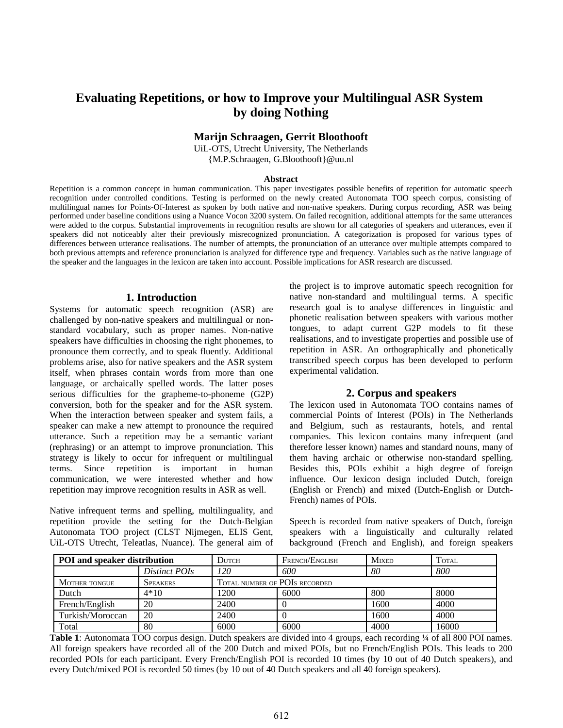# **Evaluating Repetitions, or how to Improve your Multilingual ASR System by doing Nothing**

#### **Marijn Schraagen, Gerrit Bloothooft**

UiL-OTS, Utrecht University, The Netherlands {M.P.Schraagen, G.Bloothooft}@uu.nl

#### **Abstract**

Repetition is a common concept in human communication. This paper investigates possible benefits of repetition for automatic speech recognition under controlled conditions. Testing is performed on the newly created Autonomata TOO speech corpus, consisting of multilingual names for Points-Of-Interest as spoken by both native and non-native speakers. During corpus recording, ASR was being performed under baseline conditions using a Nuance Vocon 3200 system. On failed recognition, additional attempts for the same utterances were added to the corpus. Substantial improvements in recognition results are shown for all categories of speakers and utterances, even if speakers did not noticeably alter their previously misrecognized pronunciation. A categorization is proposed for various types of differences between utterance realisations. The number of attempts, the pronunciation of an utterance over multiple attempts compared to both previous attempts and reference pronunciation is analyzed for difference type and frequency. Variables such as the native language of the speaker and the languages in the lexicon are taken into account. Possible implications for ASR research are discussed.

#### **1. Introduction**

Systems for automatic speech recognition (ASR) are challenged by non-native speakers and multilingual or nonstandard vocabulary, such as proper names. Non-native speakers have difficulties in choosing the right phonemes, to pronounce them correctly, and to speak fluently. Additional problems arise, also for native speakers and the ASR system itself, when phrases contain words from more than one language, or archaically spelled words. The latter poses serious difficulties for the grapheme-to-phoneme (G2P) conversion, both for the speaker and for the ASR system. When the interaction between speaker and system fails, a speaker can make a new attempt to pronounce the required utterance. Such a repetition may be a semantic variant (rephrasing) or an attempt to improve pronunciation. This strategy is likely to occur for infrequent or multilingual terms. Since repetition is important in human communication, we were interested whether and how repetition may improve recognition results in ASR as well.

Native infrequent terms and spelling, multilinguality, and repetition provide the setting for the Dutch-Belgian Autonomata TOO project (CLST Nijmegen, ELIS Gent, UiL-OTS Utrecht, Teleatlas, Nuance). The general aim of the project is to improve automatic speech recognition for native non-standard and multilingual terms. A specific research goal is to analyse differences in linguistic and phonetic realisation between speakers with various mother tongues, to adapt current G2P models to fit these realisations, and to investigate properties and possible use of repetition in ASR. An orthographically and phonetically transcribed speech corpus has been developed to perform experimental validation.

#### **2. Corpus and speakers**

The lexicon used in Autonomata TOO contains names of commercial Points of Interest (POIs) in The Netherlands and Belgium, such as restaurants, hotels, and rental companies. This lexicon contains many infrequent (and therefore lesser known) names and standard nouns, many of them having archaic or otherwise non-standard spelling. Besides this, POIs exhibit a high degree of foreign influence. Our lexicon design included Dutch, foreign (English or French) and mixed (Dutch-English or Dutch-French) names of POIs.

Speech is recorded from native speakers of Dutch, foreign speakers with a linguistically and culturally related background (French and English), and foreign speakers

| <b>POI</b> and speaker distribution |                 | <b>DUTCH</b>                  | FRENCH/ENGLISH | <b>MIXED</b> | Total |
|-------------------------------------|-----------------|-------------------------------|----------------|--------------|-------|
|                                     | Distinct POIs   | 120                           | 600            | 80           | 800   |
| <b>MOTHER TONGUE</b>                | <b>SPEAKERS</b> | TOTAL NUMBER OF POIS RECORDED |                |              |       |
| Dutch                               | $4*10$          | 1200                          | 6000           | 800          | 8000  |
| French/English                      | 20              | 2400                          |                | 1600         | 4000  |
| Turkish/Moroccan                    | 20              | 2400                          |                | 1600         | 4000  |
| Total                               | 80              | 6000                          | 6000           | 4000         | 16000 |

**Table 1**: Autonomata TOO corpus design. Dutch speakers are divided into 4 groups, each recording ¼ of all 800 POI names. All foreign speakers have recorded all of the 200 Dutch and mixed POIs, but no French/English POIs. This leads to 200 recorded POIs for each participant. Every French/English POI is recorded 10 times (by 10 out of 40 Dutch speakers), and every Dutch/mixed POI is recorded 50 times (by 10 out of 40 Dutch speakers and all 40 foreign speakers).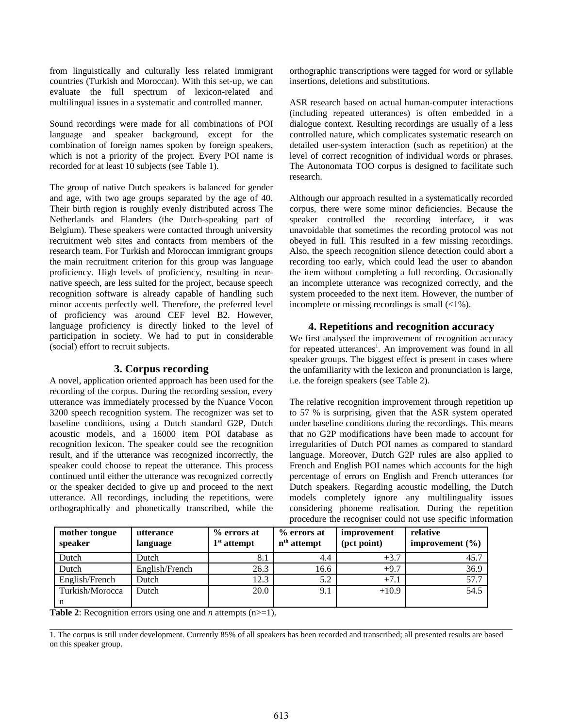from linguistically and culturally less related immigrant countries (Turkish and Moroccan). With this set-up, we can evaluate the full spectrum of lexicon-related and multilingual issues in a systematic and controlled manner.

Sound recordings were made for all combinations of POI language and speaker background, except for the combination of foreign names spoken by foreign speakers, which is not a priority of the project. Every POI name is recorded for at least 10 subjects (see Table 1).

The group of native Dutch speakers is balanced for gender and age, with two age groups separated by the age of 40. Their birth region is roughly evenly distributed across The Netherlands and Flanders (the Dutch-speaking part of Belgium). These speakers were contacted through university recruitment web sites and contacts from members of the research team. For Turkish and Moroccan immigrant groups the main recruitment criterion for this group was language proficiency. High levels of proficiency, resulting in nearnative speech, are less suited for the project, because speech recognition software is already capable of handling such minor accents perfectly well. Therefore, the preferred level of proficiency was around CEF level B2. However, language proficiency is directly linked to the level of participation in society. We had to put in considerable (social) effort to recruit subjects.

### **3. Corpus recording**

A novel, application oriented approach has been used for the recording of the corpus. During the recording session, every utterance was immediately processed by the Nuance Vocon 3200 speech recognition system. The recognizer was set to baseline conditions, using a Dutch standard G2P, Dutch acoustic models, and a 16000 item POI database as recognition lexicon. The speaker could see the recognition result, and if the utterance was recognized incorrectly, the speaker could choose to repeat the utterance. This process continued until either the utterance was recognized correctly or the speaker decided to give up and proceed to the next utterance. All recordings, including the repetitions, were orthographically and phonetically transcribed, while the

orthographic transcriptions were tagged for word or syllable insertions, deletions and substitutions.

ASR research based on actual human-computer interactions (including repeated utterances) is often embedded in a dialogue context. Resulting recordings are usually of a less controlled nature, which complicates systematic research on detailed user-system interaction (such as repetition) at the level of correct recognition of individual words or phrases. The Autonomata TOO corpus is designed to facilitate such research.

Although our approach resulted in a systematically recorded corpus, there were some minor deficiencies. Because the speaker controlled the recording interface, it was unavoidable that sometimes the recording protocol was not obeyed in full. This resulted in a few missing recordings. Also, the speech recognition silence detection could abort a recording too early, which could lead the user to abandon the item without completing a full recording. Occasionally an incomplete utterance was recognized correctly, and the system proceeded to the next item. However, the number of incomplete or missing recordings is small (<1%).

### **4. Repetitions and recognition accuracy**

We first analysed the improvement of recognition accuracy for repeated utterances<sup>1</sup>. An improvement was found in all speaker groups. The biggest effect is present in cases where the unfamiliarity with the lexicon and pronunciation is large, i.e. the foreign speakers (see Table 2).

The relative recognition improvement through repetition up to 57 % is surprising, given that the ASR system operated under baseline conditions during the recordings. This means that no G2P modifications have been made to account for irregularities of Dutch POI names as compared to standard language. Moreover, Dutch G2P rules are also applied to French and English POI names which accounts for the high percentage of errors on English and French utterances for Dutch speakers. Regarding acoustic modelling, the Dutch models completely ignore any multilinguality issues considering phoneme realisation. During the repetition procedure the recogniser could not use specific information

| mother tongue<br>speaker | utterance<br>language | % errors at<br>$1st$ attempt | % errors at<br>n <sup>th</sup> attempt | improvement<br>(pct point) | relative<br>improvement $(\%)$ |
|--------------------------|-----------------------|------------------------------|----------------------------------------|----------------------------|--------------------------------|
| Dutch                    | Dutch                 | 8.1                          | 4.4                                    | $+3.7$                     | 45.7                           |
| Dutch                    | English/French        | 26.3                         | 16.6                                   | $+9.7$                     | 36.9                           |
| English/French           | Dutch                 | 12.3                         | 5.2                                    | $+7.1$                     | 57.7                           |
| Turkish/Morocca<br>n     | Dutch                 | 20.0                         | 9.1                                    | $+10.9$                    | 54.5                           |

**Table 2**: Recognition errors using one and *n* attempts (n>=1).

1. The corpus is still under development. Currently 85% of all speakers has been recorded and transcribed; all presented results are based on this speaker group.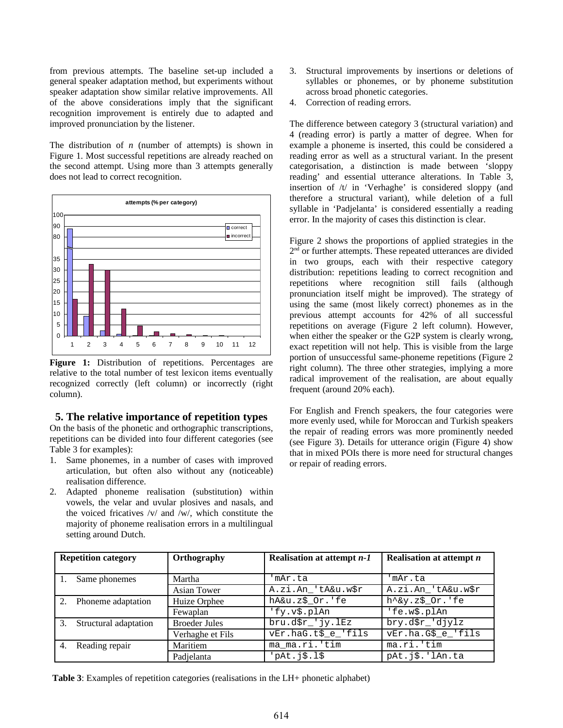from previous attempts. The baseline set-up included a general speaker adaptation method, but experiments without speaker adaptation show similar relative improvements. All of the above considerations imply that the significant recognition improvement is entirely due to adapted and improved pronunciation by the listener.

The distribution of *n* (number of attempts) is shown in Figure 1. Most successful repetitions are already reached on the second attempt. Using more than 3 attempts generally does not lead to correct recognition.



Figure 1: Distribution of repetitions. Percentages are relative to the total number of test lexicon items eventually recognized correctly (left column) or incorrectly (right column).

### **5. The relative importance of repetition types**

On the basis of the phonetic and orthographic transcriptions, repetitions can be divided into four different categories (see Table 3 for examples):

- 1. Same phonemes, in a number of cases with improved articulation, but often also without any (noticeable) realisation difference.
- 2. Adapted phoneme realisation (substitution) within vowels, the velar and uvular plosives and nasals, and the voiced fricatives /v/ and /w/, which constitute the majority of phoneme realisation errors in a multilingual setting around Dutch.
- 3. Structural improvements by insertions or deletions of syllables or phonemes, or by phoneme substitution across broad phonetic categories.
- 4. Correction of reading errors.

The difference between category 3 (structural variation) and 4 (reading error) is partly a matter of degree. When for example a phoneme is inserted, this could be considered a reading error as well as a structural variant. In the present categorisation, a distinction is made between 'sloppy reading' and essential utterance alterations. In Table 3, insertion of /t/ in 'Verhaghe' is considered sloppy (and therefore a structural variant), while deletion of a full syllable in 'Padjelanta' is considered essentially a reading error. In the majority of cases this distinction is clear.

Figure 2 shows the proportions of applied strategies in the 2<sup>nd</sup> or further attempts. These repeated utterances are divided in two groups, each with their respective category distribution: repetitions leading to correct recognition and repetitions where recognition still fails (although pronunciation itself might be improved). The strategy of using the same (most likely correct) phonemes as in the previous attempt accounts for 42% of all successful repetitions on average (Figure 2 left column). However, when either the speaker or the G2P system is clearly wrong, exact repetition will not help. This is visible from the large portion of unsuccessful same-phoneme repetitions (Figure 2 right column). The three other strategies, implying a more radical improvement of the realisation, are about equally frequent (around 20% each).

For English and French speakers, the four categories were more evenly used, while for Moroccan and Turkish speakers the repair of reading errors was more prominently needed (see Figure 3). Details for utterance origin (Figure 4) show that in mixed POIs there is more need for structural changes or repair of reading errors.

| <b>Repetition category</b>  | Orthography          | Realisation at attempt n-1 | <b>Realisation at attempt n</b> |
|-----------------------------|----------------------|----------------------------|---------------------------------|
|                             |                      |                            |                                 |
| Same phonemes               | Martha               | 'mAr.ta                    | 'mAr.ta                         |
|                             | <b>Asian Tower</b>   | A.zi.An 'tA&u.w\$r         | A.zi.An 'tA&u.w\$r              |
| Phoneme adaptation<br>2.    | Huize Orphee         | hA&u.z\$_Or.'fe            | $h \wedge g$ y.z $\$0r$ .'fe    |
|                             | Fewaplan             | 'fy.v\$.plAn               | 'fe.w\$.plAn                    |
| Structural adaptation<br>3. | <b>Broeder Jules</b> | $bru.d$r$ $'jy.IEz$        | bry.d\$r_'djylz                 |
|                             | Verhaghe et Fils     | vEr.haG.t\$_e_'fils        | vEr.ha.G\$_e_'fils              |
| Reading repair<br>4.        | Maritiem             | ma ma.ri.'tim              | $ma.ri.$ 'tim                   |
|                             | Padjelanta           | pAt.j\$.l\$'               | pat.j\$.'IAn.ta                 |

**Table 3**: Examples of repetition categories (realisations in the LH+ phonetic alphabet)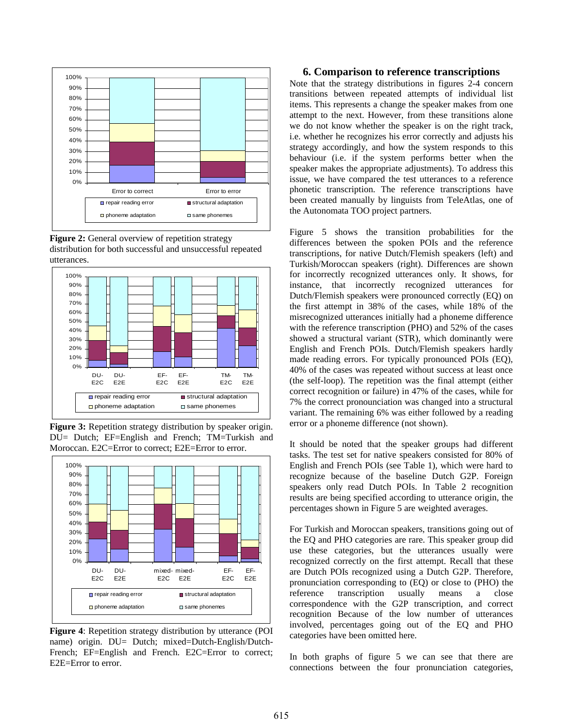

**Figure 2:** General overview of repetition strategy distribution for both successful and unsuccessful repeated utterances.



**Figure 3:** Repetition strategy distribution by speaker origin. DU= Dutch; EF=English and French; TM=Turkish and Moroccan. E2C=Error to correct; E2E=Error to error.



**Figure 4**: Repetition strategy distribution by utterance (POI name) origin. DU= Dutch; mixed=Dutch-English/Dutch-French; EF=English and French. E2C=Error to correct; E2E=Error to error.

#### **6. Comparison to reference transcriptions**

Note that the strategy distributions in figures 2-4 concern transitions between repeated attempts of individual list items. This represents a change the speaker makes from one attempt to the next. However, from these transitions alone we do not know whether the speaker is on the right track, i.e. whether he recognizes his error correctly and adjusts his strategy accordingly, and how the system responds to this behaviour (i.e. if the system performs better when the speaker makes the appropriate adjustments). To address this issue, we have compared the test utterances to a reference phonetic transcription. The reference transcriptions have been created manually by linguists from TeleAtlas, one of the Autonomata TOO project partners.

Figure 5 shows the transition probabilities for the differences between the spoken POIs and the reference transcriptions, for native Dutch/Flemish speakers (left) and Turkish/Moroccan speakers (right). Differences are shown for incorrectly recognized utterances only. It shows, for instance, that incorrectly recognized utterances for Dutch/Flemish speakers were pronounced correctly (EQ) on the first attempt in 38% of the cases, while 18% of the misrecognized utterances initially had a phoneme difference with the reference transcription (PHO) and 52% of the cases showed a structural variant (STR), which dominantly were English and French POIs. Dutch/Flemish speakers hardly made reading errors. For typically pronounced POIs (EQ), 40% of the cases was repeated without success at least once (the self-loop). The repetition was the final attempt (either correct recognition or failure) in 47% of the cases, while for 7% the correct pronounciation was changed into a structural variant. The remaining 6% was either followed by a reading error or a phoneme difference (not shown).

It should be noted that the speaker groups had different tasks. The test set for native speakers consisted for 80% of English and French POIs (see Table 1), which were hard to recognize because of the baseline Dutch G2P. Foreign speakers only read Dutch POIs. In Table 2 recognition results are being specified according to utterance origin, the percentages shown in Figure 5 are weighted averages.

For Turkish and Moroccan speakers, transitions going out of the EQ and PHO categories are rare. This speaker group did use these categories, but the utterances usually were recognized correctly on the first attempt. Recall that these are Dutch POIs recognized using a Dutch G2P. Therefore, pronunciation corresponding to (EQ) or close to (PHO) the reference transcription usually means a close correspondence with the G2P transcription, and correct recognition Because of the low number of utterances involved, percentages going out of the EQ and PHO categories have been omitted here.

In both graphs of figure 5 we can see that there are connections between the four pronunciation categories,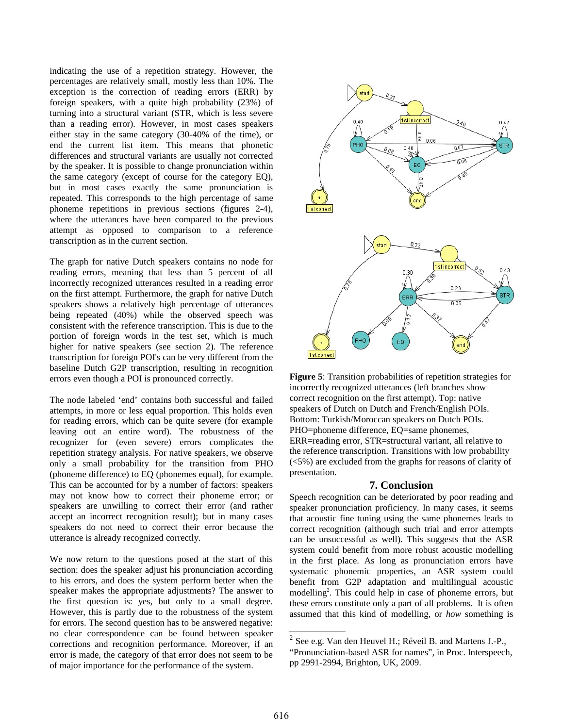indicating the use of a repetition strategy. However, the percentages are relatively small, mostly less than 10%. The exception is the correction of reading errors (ERR) by foreign speakers, with a quite high probability (23%) of turning into a structural variant (STR, which is less severe than a reading error). However, in most cases speakers either stay in the same category (30-40% of the time), or end the current list item. This means that phonetic differences and structural variants are usually not corrected by the speaker. It is possible to change pronunciation within the same category (except of course for the category EQ), but in most cases exactly the same pronunciation is repeated. This corresponds to the high percentage of same phoneme repetitions in previous sections (figures 2-4), where the utterances have been compared to the previous attempt as opposed to comparison to a reference transcription as in the current section.

The graph for native Dutch speakers contains no node for reading errors, meaning that less than 5 percent of all incorrectly recognized utterances resulted in a reading error on the first attempt. Furthermore, the graph for native Dutch speakers shows a relatively high percentage of utterances being repeated (40%) while the observed speech was consistent with the reference transcription. This is due to the portion of foreign words in the test set, which is much higher for native speakers (see section 2). The reference transcription for foreign POI's can be very different from the baseline Dutch G2P transcription, resulting in recognition errors even though a POI is pronounced correctly.

The node labeled 'end' contains both successful and failed attempts, in more or less equal proportion. This holds even for reading errors, which can be quite severe (for example leaving out an entire word). The robustness of the recognizer for (even severe) errors complicates the repetition strategy analysis. For native speakers, we observe only a small probability for the transition from PHO (phoneme difference) to EQ (phonemes equal), for example. This can be accounted for by a number of factors: speakers may not know how to correct their phoneme error; or speakers are unwilling to correct their error (and rather accept an incorrect recognition result); but in many cases speakers do not need to correct their error because the utterance is already recognized correctly.

We now return to the questions posed at the start of this section: does the speaker adjust his pronunciation according to his errors, and does the system perform better when the speaker makes the appropriate adjustments? The answer to the first question is: yes, but only to a small degree. However, this is partly due to the robustness of the system for errors. The second question has to be answered negative: no clear correspondence can be found between speaker corrections and recognition performance. Moreover, if an error is made, the category of that error does not seem to be of major importance for the performance of the system.



**Figure 5**: Transition probabilities of repetition strategies for incorrectly recognized utterances (left branches show correct recognition on the first attempt). Top: native speakers of Dutch on Dutch and French/English POIs. Bottom: Turkish/Moroccan speakers on Dutch POIs. PHO=phoneme difference, EQ=same phonemes, ERR=reading error, STR=structural variant, all relative to the reference transcription. Transitions with low probability (<5%) are excluded from the graphs for reasons of clarity of presentation.

### **7. Conclusion**

Speech recognition can be deteriorated by poor reading and speaker pronunciation proficiency. In many cases, it seems that acoustic fine tuning using the same phonemes leads to correct recognition (although such trial and error attempts can be unsuccessful as well). This suggests that the ASR system could benefit from more robust acoustic modelling in the first place. As long as pronunciation errors have systematic phonemic properties, an ASR system could benefit from G2P adaptation and multilingual acoustic modelling<sup>[2](#page-4-0)</sup>. This could help in case of phoneme errors, but these errors constitute only a part of all problems. It is often assumed that this kind of modelling, or *how* something is

<span id="page-4-0"></span> $^2$  See e.g. Van den Heuvel H.; Réveil B. and Martens J.-P.,

<sup>&</sup>quot;Pronunciation-based ASR for names", in Proc. Interspeech, pp 2991-2994, Brighton, UK, 2009.